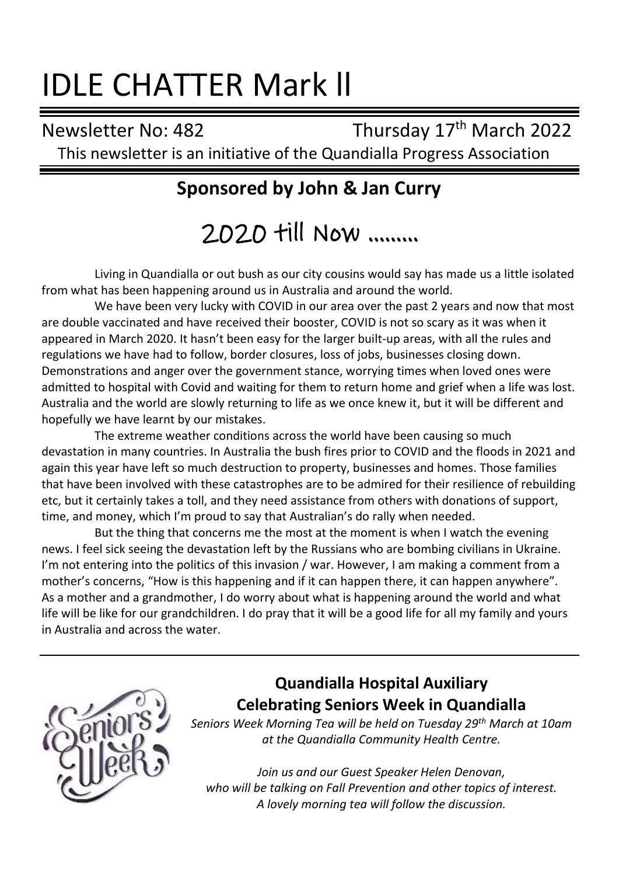# IDLE CHATTER Mark ll

Newsletter No: 482 Thursday 17<sup>th</sup> March 2022 This newsletter is an initiative of the Quandialla Progress Association

# **Sponsored by John & Jan Curry**

2020 till Now ………

Living in Quandialla or out bush as our city cousins would say has made us a little isolated from what has been happening around us in Australia and around the world.

We have been very lucky with COVID in our area over the past 2 years and now that most are double vaccinated and have received their booster, COVID is not so scary as it was when it appeared in March 2020. It hasn't been easy for the larger built-up areas, with all the rules and regulations we have had to follow, border closures, loss of jobs, businesses closing down. Demonstrations and anger over the government stance, worrying times when loved ones were admitted to hospital with Covid and waiting for them to return home and grief when a life was lost. Australia and the world are slowly returning to life as we once knew it, but it will be different and hopefully we have learnt by our mistakes.

The extreme weather conditions across the world have been causing so much devastation in many countries. In Australia the bush fires prior to COVID and the floods in 2021 and again this year have left so much destruction to property, businesses and homes. Those families that have been involved with these catastrophes are to be admired for their resilience of rebuilding etc, but it certainly takes a toll, and they need assistance from others with donations of support, time, and money, which I'm proud to say that Australian's do rally when needed.

But the thing that concerns me the most at the moment is when I watch the evening news. I feel sick seeing the devastation left by the Russians who are bombing civilians in Ukraine. I'm not entering into the politics of this invasion / war. However, I am making a comment from a mother's concerns, "How is this happening and if it can happen there, it can happen anywhere". As a mother and a grandmother, I do worry about what is happening around the world and what life will be like for our grandchildren. I do pray that it will be a good life for all my family and yours in Australia and across the water.



## **Quandialla Hospital Auxiliary Celebrating Seniors Week in Quandialla**

*Seniors Week Morning Tea will be held on Tuesday 29th March at 10am at the Quandialla Community Health Centre.*

*Join us and our Guest Speaker Helen Denovan, who will be talking on Fall Prevention and other topics of interest. A lovely morning tea will follow the discussion.*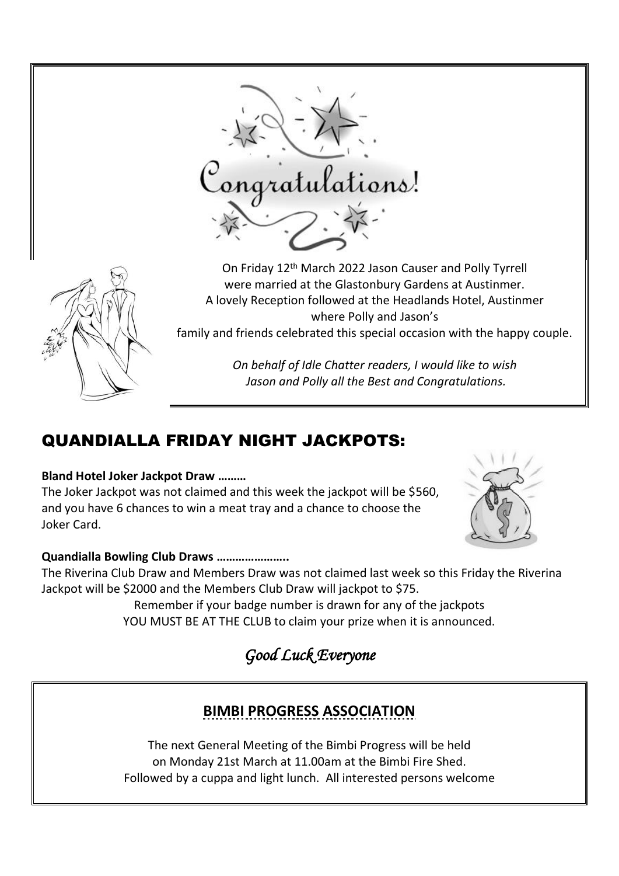

# QUANDIALLA FRIDAY NIGHT JACKPOTS:

#### **Bland Hotel Joker Jackpot Draw ………**

The Joker Jackpot was not claimed and this week the jackpot will be \$560, and you have 6 chances to win a meat tray and a chance to choose the Joker Card.



#### **Quandialla Bowling Club Draws …………………..**

The Riverina Club Draw and Members Draw was not claimed last week so this Friday the Riverina Jackpot will be \$2000 and the Members Club Draw will jackpot to \$75.

Remember if your badge number is drawn for any of the jackpots YOU MUST BE AT THE CLUB to claim your prize when it is announced.

*Good Luck Everyone* 

## **BIMBI PROGRESS ASSOCIATION**

The next General Meeting of the Bimbi Progress will be held on Monday 21st March at 11.00am at the Bimbi Fire Shed. Followed by a cuppa and light lunch. All interested persons welcome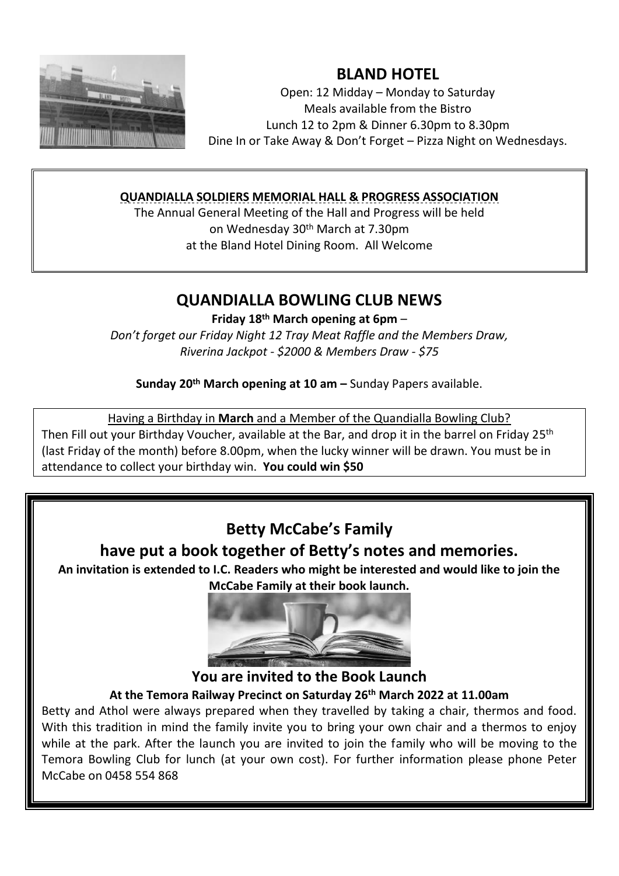

## **BLAND HOTEL**

Open: 12 Midday – Monday to Saturday Meals available from the Bistro Lunch 12 to 2pm & Dinner 6.30pm to 8.30pm Dine In or Take Away & Don't Forget – Pizza Night on Wednesdays.

#### **QUANDIALLA SOLDIERS MEMORIAL HALL & PROGRESS ASSOCIATION**

The Annual General Meeting of the Hall and Progress will be held on Wednesday 30th March at 7.30pm at the Bland Hotel Dining Room. All Welcome

#### **QUANDIALLA BOWLING CLUB NEWS**

**Friday 18 th March opening at 6pm** –

*Don't forget our Friday Night 12 Tray Meat Raffle and the Members Draw, Riverina Jackpot - \$2000 & Members Draw - \$75*

**Sunday 20th March opening at 10 am –** Sunday Papers available.

Having a Birthday in **March** and a Member of the Quandialla Bowling Club?

Then Fill out your Birthday Voucher, available at the Bar, and drop it in the barrel on Friday 25th (last Friday of the month) before 8.00pm, when the lucky winner will be drawn. You must be in attendance to collect your birthday win. **You could win \$50**

## **Betty McCabe's Family have put a book together of Betty's notes and memories.**

**An invitation is extended to I.C. Readers who might be interested and would like to join the McCabe Family at their book launch.**



**You are invited to the Book Launch**

#### **At the Temora Railway Precinct on Saturday 26th March 2022 at 11.00am**

Betty and Athol were always prepared when they travelled by taking a chair, thermos and food. With this tradition in mind the family invite you to bring your own chair and a thermos to enjoy while at the park. After the launch you are invited to join the family who will be moving to the Temora Bowling Club for lunch (at your own cost). For further information please phone Peter McCabe on 0458 554 868